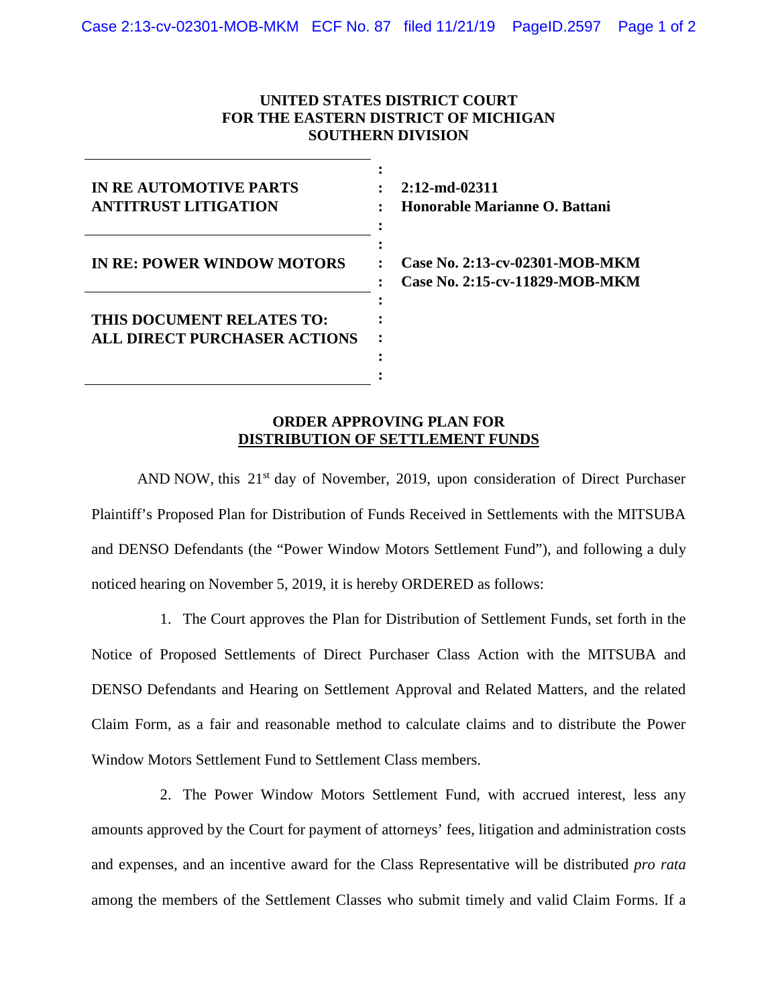## **UNITED STATES DISTRICT COURT FOR THE EASTERN DISTRICT OF MICHIGAN SOUTHERN DIVISION**

| IN RE AUTOMOTIVE PARTS<br><b>ANTITRUST LITIGATION</b>            | $2:12$ -md-02<br>Honorable      |
|------------------------------------------------------------------|---------------------------------|
| IN RE: POWER WINDOW MOTORS                                       | Case No. 2<br><b>Case No. 2</b> |
| THIS DOCUMENT RELATES TO:<br><b>ALL DIRECT PURCHASER ACTIONS</b> |                                 |

**2311 Honorable Marianne O. Battani**

**Case No. 2:13-cv-02301-MOB-MKM Case No. 2:15-cv-11829-MOB-MKM**

## **ORDER APPROVING PLAN FOR DISTRIBUTION OF SETTLEMENT FUNDS**

AND NOW, this  $21<sup>st</sup>$  day of November, 2019, upon consideration of Direct Purchaser Plaintiff's Proposed Plan for Distribution of Funds Received in Settlements with the MITSUBA and DENSO Defendants (the "Power Window Motors Settlement Fund"), and following a duly noticed hearing on November 5, 2019, it is hereby ORDERED as follows:

1. The Court approves the Plan for Distribution of Settlement Funds, set forth in the Notice of Proposed Settlements of Direct Purchaser Class Action with the MITSUBA and DENSO Defendants and Hearing on Settlement Approval and Related Matters, and the related Claim Form, as a fair and reasonable method to calculate claims and to distribute the Power Window Motors Settlement Fund to Settlement Class members.

2. The Power Window Motors Settlement Fund, with accrued interest, less any amounts approved by the Court for payment of attorneys' fees, litigation and administration costs and expenses, and an incentive award for the Class Representative will be distributed *pro rata* among the members of the Settlement Classes who submit timely and valid Claim Forms. If a